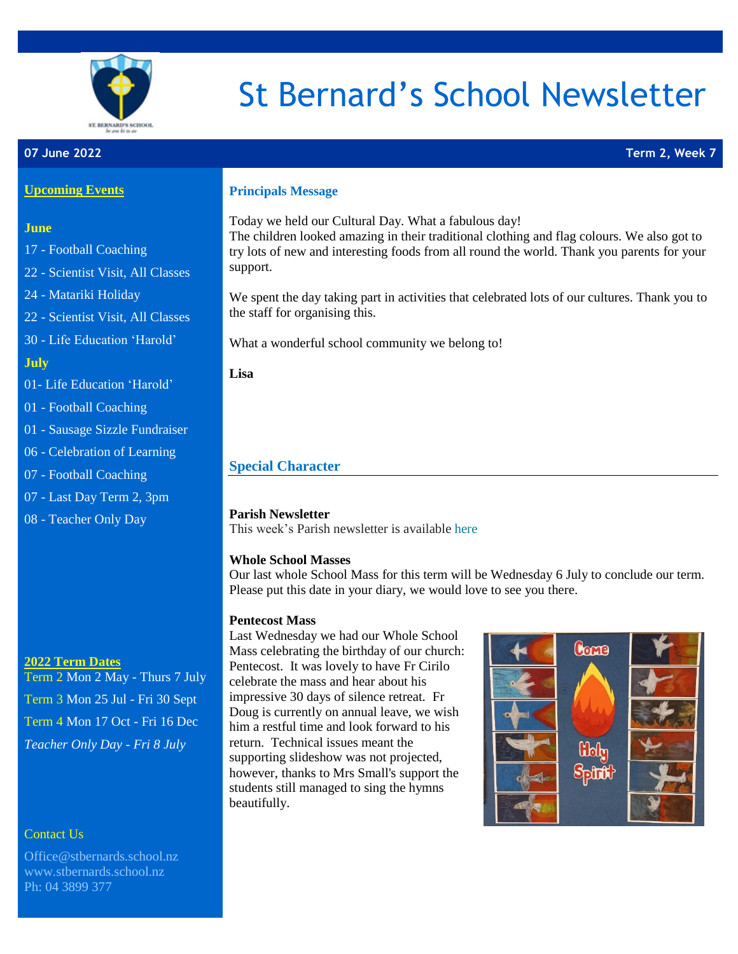

# St Bernard's School Newsletter

#### **07 June 2022 Term 2, Week 7**

#### **Upcoming Events**

# **June**

- 17 Football Coaching
- 22 Scientist Visit, All Classes
- 24 Matariki Holiday
- 22 Scientist Visit, All Classes
- 30 Life Education 'Harold'

# **July**

- 01- Life Education 'Harold'
- 01 Football Coaching
- 01 Sausage Sizzle Fundraiser
- 06 Celebration of Learning
- 07 Football Coaching
- 07 Last Day Term 2, 3pm
- 08 Teacher Only Day

### **2022 Term Dates**

Term 2 Mon 2 May - Thurs 7 July Term 3 Mon 25 Jul - Fri 30 Sept Term 4 Mon 17 Oct - Fri 16 Dec *Teacher Only Day - Fri 8 July*

# Contact Us

[Office@stbernards.school.nz](mailto:Office@stbernards.school.nz) [www.stbernards.school.nz](http://www.stbernards.school.nz/) Ph: 04 3899 377

#### **Principals Message**

Today we held our Cultural Day. What a fabulous day! The children looked amazing in their traditional clothing and flag colours. We also got to try lots of new and interesting foods from all round the world. Thank you parents for your support.

We spent the day taking part in activities that celebrated lots of our cultures. Thank you to the staff for organising this.

What a wonderful school community we belong to!

**Lisa**

# **Special Character**

# **Parish Newsletter**

This week's Parish newsletter is available [here](https://wellingtonsouthcatholic.us17.list-manage.com/track/click?u=4035886e372f67361961b040f&id=7714923747&e=1f3d12fe5d)

#### **Whole School Masses**

Our last whole School Mass for this term will be Wednesday 6 July to conclude our term. Please put this date in your diary, we would love to see you there.

#### **Pentecost Mass**

Last Wednesday we had our Whole School Mass celebrating the birthday of our church: Pentecost. It was lovely to have Fr Cirilo celebrate the mass and hear about his impressive 30 days of silence retreat. Fr Doug is currently on annual leave, we wish him a restful time and look forward to his return. Technical issues meant the supporting slideshow was not projected, however, thanks to Mrs Small's support the students still managed to sing the hymns beautifully.

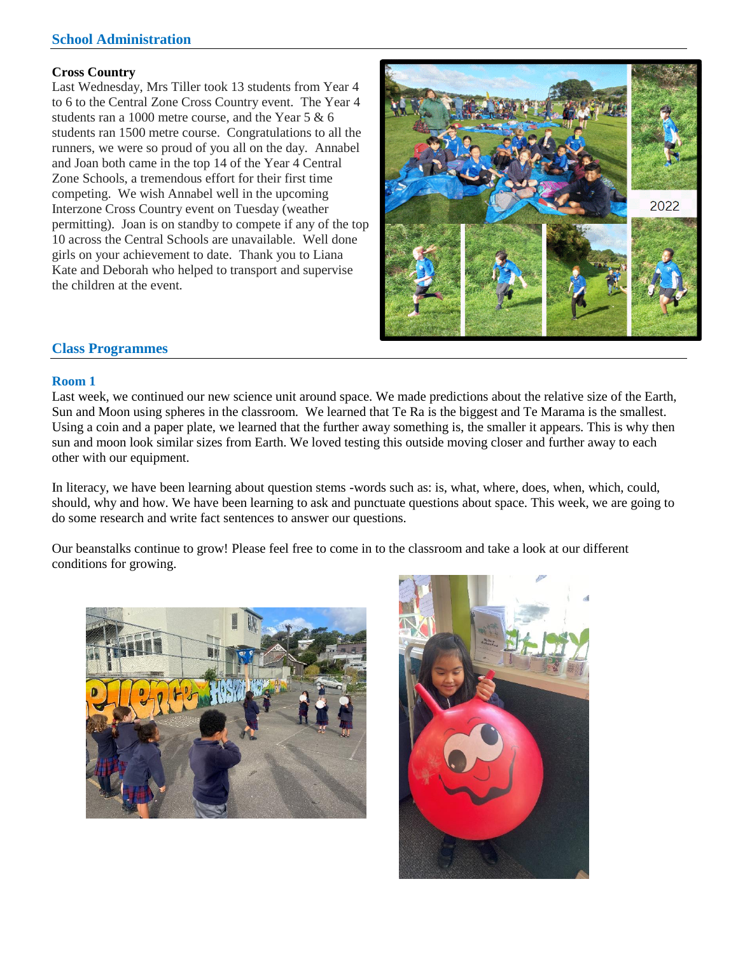# **School Administration**

#### **Cross Country**

Last Wednesday, Mrs Tiller took 13 students from Year 4 to 6 to the Central Zone Cross Country event. The Year 4 students ran a 1000 metre course, and the Year 5 & 6 students ran 1500 metre course. Congratulations to all the runners, we were so proud of you all on the day. Annabel and Joan both came in the top 14 of the Year 4 Central Zone Schools, a tremendous effort for their first time competing. We wish Annabel well in the upcoming Interzone Cross Country event on Tuesday (weather permitting). Joan is on standby to compete if any of the top 10 across the Central Schools are unavailable. Well done girls on your achievement to date. Thank you to Liana Kate and Deborah who helped to transport and supervise the children at the event.



# **Class Programmes**

#### **Room 1**

Last week, we continued our new science unit around space. We made predictions about the relative size of the Earth, Sun and Moon using spheres in the classroom. We learned that Te Ra is the biggest and Te Marama is the smallest. Using a coin and a paper plate, we learned that the further away something is, the smaller it appears. This is why then sun and moon look similar sizes from Earth. We loved testing this outside moving closer and further away to each other with our equipment.

In literacy, we have been learning about question stems -words such as: is, what, where, does, when, which, could, should, why and how. We have been learning to ask and punctuate questions about space. This week, we are going to do some research and write fact sentences to answer our questions.

Our beanstalks continue to grow! Please feel free to come in to the classroom and take a look at our different conditions for growing.